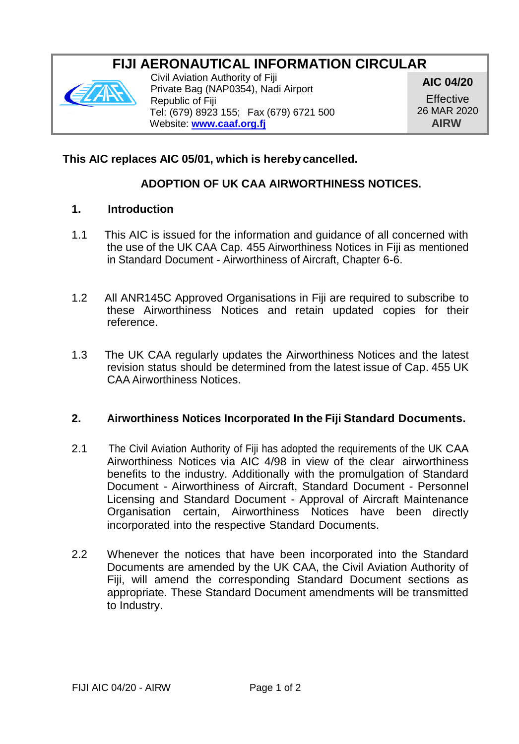# **FIJI AERONAUTICAL INFORMATION CIRCULAR**



Civil Aviation Authority of Fiji Private Bag (NAP0354), Nadi Airport Republic of Fiji Tel: (679) 8923 155; Fax (679) 6721 500 Website: **[www.caaf.org.fj](http://www.caaf.org.fj/)**

**AIC 04/20 Effective** 26 MAR 2020 **AIRW**

## **This AIC replaces AIC 05/01, which is hereby cancelled.**

# **ADOPTION OF UK CAA AIRWORTHINESS NOTICES.**

#### **1. Introduction**

- 1.1 This AIC is issued for the information and guidance of all concerned with the use of the UK CAA Cap. 455 Airworthiness Notices in Fiji as mentioned in Standard Document - Airworthiness of Aircraft, Chapter 6-6.
- 1.2 All ANR145C Approved Organisations in Fiji are required to subscribe to these Airworthiness Notices and retain updated copies for their reference.
- 1.3 The UK CAA regularly updates the Airworthiness Notices and the latest revision status should be determined from the latest issue of Cap. 455 UK CAA Airworthiness Notices.

#### **2. Airworthiness Notices Incorporated In the Fiji Standard Documents.**

- 2.1 The Civil Aviation Authority of Fiji has adopted the requirements of the UK CAA Airworthiness Notices via AIC 4/98 in view of the clear airworthiness benefits to the industry. Additionally with the promulgation of Standard Document - Airworthiness of Aircraft, Standard Document - Personnel Licensing and Standard Document - Approval of Aircraft Maintenance Organisation certain, Airworthiness Notices have been directly incorporated into the respective Standard Documents.
- 2.2 Whenever the notices that have been incorporated into the Standard Documents are amended by the UK CAA, the Civil Aviation Authority of Fiji, will amend the corresponding Standard Document sections as appropriate. These Standard Document amendments will be transmitted to Industry.